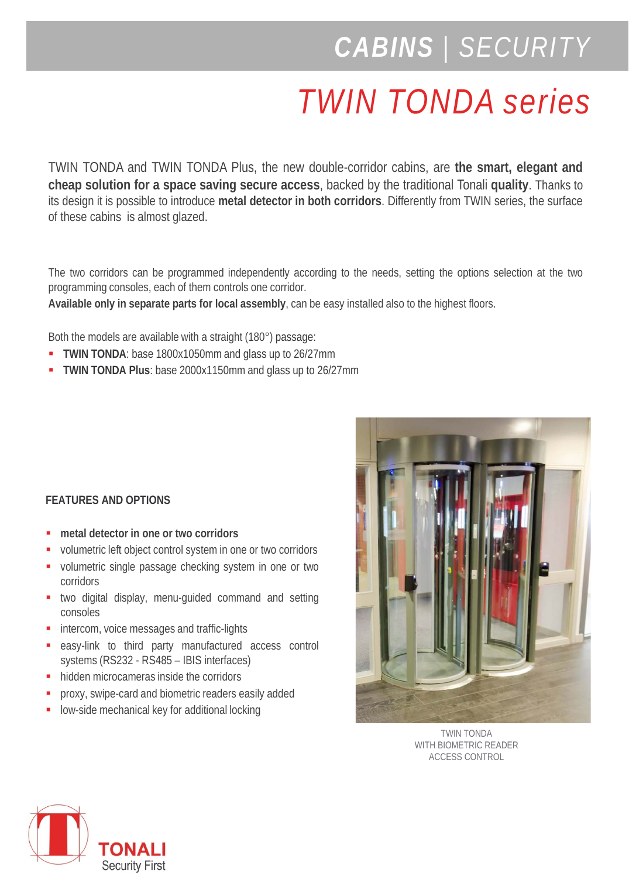## *CABINS | SECURITY*

## *TWIN TONDA series*

TWIN TONDA and TWIN TONDA Plus, the new double-corridor cabins, are **the smart, elegant and cheap solution for a space saving secure access**, backed by the traditional Tonali **quality**. Thanks to its design it is possible to introduce **metal detector in both corridors**. Differently from TWIN series, the surface of these cabins is almost glazed.

The two corridors can be programmed independently according to the needs, setting the options selection at the two programming consoles, each of them controls one corridor.

**Available only in separate parts for local assembly**, can be easy installed also to the highest floors.

Both the models are available with a straight (180°) passage:

- **TWIN TONDA**: base 1800x1050mm and glass up to 26/27mm
- **TWIN TONDA Plus**: base 2000x1150mm and glass up to 26/27mm

## **FEATURES AND OPTIONS**

- **metal detector in one or two corridors**
- volumetric left object control system in one or two corridors
- volumetric single passage checking system in one or two corridors
- **two digital display, menu-guided command and setting** consoles
- intercom, voice messages and traffic-lights
- easy-link to third party manufactured access control systems (RS232 - RS485 – IBIS interfaces)
- hidden microcameras inside the corridors
- **PEDROXY, swipe-card and biometric readers easily added**
- **-** low-side mechanical key for additional locking



TWIN TONDA WITH BIOMETRIC READER ACCESS CONTROL